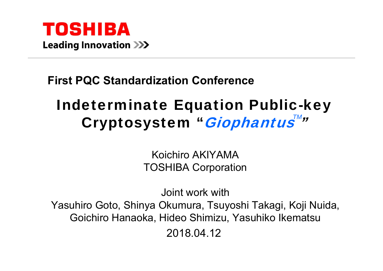

#### **First PQC Standardization Conference**

# Indeterminate Equation Public-key Cryptosystem "*Giophantus™*″

Koichiro AKIYAMA TOSHIBA Corporation

Joint work withYasuhiro Goto, Shinya Okumura, Tsuyoshi Takagi, Koji Nuida, Goichiro Hanaoka, Hideo Shimizu, Yasuhiko Ikematsu 2018.04.12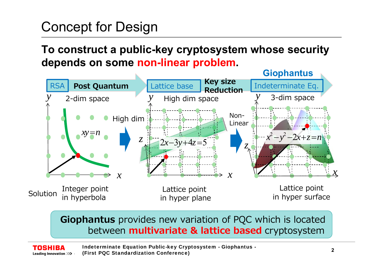# Concept for Design

TOSHIBA

#### **To construct a public-key cryptosystem whose security depends on some non-linear problem.**



**Giophantus** provides new variation of PQC which is located between **multivariate & lattice based** cryptosystem

Indeterminate Equation Public-key Cryptosystem - Giophantus - (First PQC Standardization Conference) **<sup>2</sup>**Leading Innovation >>>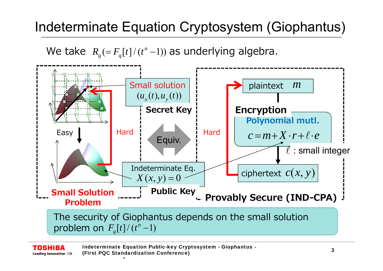# Indeterminate Equation Cryptosystem (Giophantus)

We take  $R_q (= F_q[t]/(t^n - 1))$  as underlying algebra.



Indeterminate Equation Public-key Cryptosystem - Giophantus - **<sup>3</sup>** (First PQC Standardization Conference) Leading Innovation >>>

.

TOSHIBA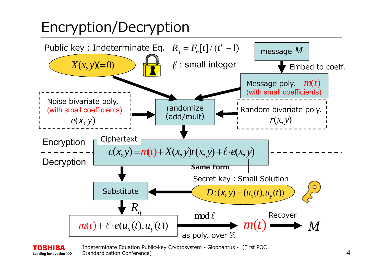# Encryption/Decryption

TOSHIBA



Indeterminate Equation Public-key Cryptosystem - Giophantus - (First PQC Standardization Conference) and the context of the context of the context of the context of the context of the context of the context of the context of the context of the context of the context of the context of the contex Leading Innovation >>>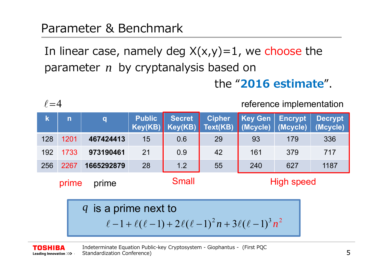#### Parameter & Benchmark

In linear case, namely deg  $X(x,y)=1$ , we choose the parameter *n* by cryptanalysis based on

the "**2016 estimate**".

 $\ell$  = 4

TOSHIBA

reference implementation

| $\overline{\mathsf{k}}$                             | $\overline{\mathsf{n}}$                                                           | $ {\bf q} $ | <b>Public</b> | <b>Secret</b><br>$Key(KB)$ Key(KB) | <b>Cipher</b><br>Text(KB) | <b>Key Gen</b><br>(Mcycle) | <b>Encrypt</b><br>(Mcycle) | <b>Decrypt</b><br>(Mcycle) |  |  |
|-----------------------------------------------------|-----------------------------------------------------------------------------------|-------------|---------------|------------------------------------|---------------------------|----------------------------|----------------------------|----------------------------|--|--|
| 128                                                 | 1201                                                                              | 467424413   | 15            | 0.6                                | 29                        | 93                         | 179                        | 336                        |  |  |
| 192                                                 | 1733                                                                              | 973190461   | 21            | 0.9                                | 42                        | 161                        | 379                        | 717                        |  |  |
| 256                                                 | 2267                                                                              | 1665292879  | 28            | 1.2                                | 55                        | 240                        | 627                        | 1187                       |  |  |
| <b>Small</b><br><b>High speed</b><br>prime<br>prime |                                                                                   |             |               |                                    |                           |                            |                            |                            |  |  |
|                                                     | q is a prime next to<br>$\ell-1+\ell(\ell-1)+2\ell(\ell-1)^2n+3\ell(\ell-1)^3n^2$ |             |               |                                    |                           |                            |                            |                            |  |  |

Indeterminate Equation Public-key Cryptosystem - Giophantus - (First PQC Standardization Conference) and the context of the context of the standardization  $5\,$ Leading Innovation >>>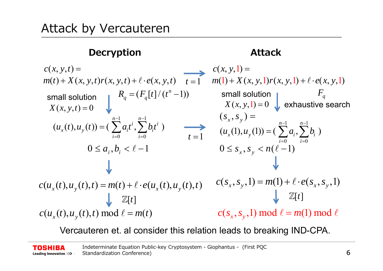#### **Decryption Attack**

$$
c(x, y, t) =
$$
\n
$$
m(t) + X(x, y, t)r(x, y, t) + \ell \cdot e(x, y, t)
$$
\n
$$
r = 1
$$
\n
$$
m(1) + X(x, y, 1)r(x, y, 1) + \ell \cdot e(x, y, 1)
$$
\nsmall solution

\n
$$
R_q = (F_q[t]/(t^n - 1))
$$
\nsmall solution

\n
$$
K(x, y, t) = 0
$$
\n
$$
X(x, y, t) = 0
$$
\nsmall solution

\n
$$
S(x, y, t) = 0
$$
\n
$$
S(x, y, t) = 0
$$
\n
$$
S(x, y, t) = 0
$$
\n
$$
S(x, y, t) = 0
$$
\n
$$
S(x, y, t) = 0
$$
\n
$$
S(x, y, t) = 0
$$
\n
$$
S(x, y, t) = 0
$$
\n
$$
S(x, y, t) = 0
$$
\n
$$
S(x, y, t) = 0
$$
\n
$$
S(x, y, t) = 0
$$
\n
$$
S(x, y, t) = 0
$$
\n
$$
S(x, y, t) = 0
$$
\n
$$
S(x, y, t) = 0
$$
\n
$$
S(x, y, t) = 0
$$
\n
$$
S(x, y, t) = 0
$$
\n
$$
S(x, y, t) = 0
$$
\n
$$
S(x, y, t) = 0
$$
\n
$$
S(x, y, t) = 0
$$
\n
$$
S(x, y, t) = 0
$$
\n
$$
S(x, y, t) = 0
$$
\n
$$
S(x, y, t) = 0
$$
\n
$$
S(x, y, t) = 0
$$
\n
$$
S(x, y, t) = 0
$$
\n
$$
S(x, y, t) = 0
$$
\n
$$
S(x, y, t) = 0
$$
\n
$$
S(x, y, t) = 0
$$
\n
$$
S(x, y, t) = 0
$$
\n
$$
S(x, y, t) = 0
$$
\n<math display="</math>

Vercauteren et. al consider this relation leads to breaking IND-CPA.

Indeterminate Equation Public-key Cryptosystem - Giophantus - (First PQC **TOSHIBA** Standardization Conference) 2008 - English Conference 6 **Leading Innovation >>>**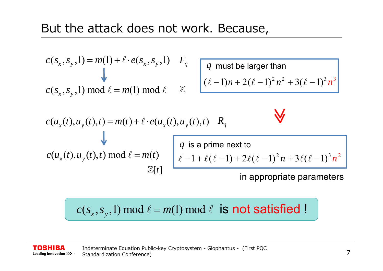$$
c(s_x, s_y, 1) = m(1) + \ell \cdot e(s_x, s_y, 1) \quad F_q
$$
  

$$
c(s_x, s_y, 1) \mod \ell = m(1) \mod \ell \quad \mathbb{Z}
$$

 $(\ell-1)n + 2(\ell-1)^2 n^2 + 3(\ell-1)^3 n$  $2 \times 2$   $2(0 \times 1)^3 \times 3$ *q* must be larger than

 $\sqrt{2}$ 

$$
c(u_x(t), u_y(t), t) = m(t) + \ell \cdot e(u_x(t), u_y(t), t)
$$
  
\n
$$
u_y(t) = m(t)
$$
\n
$$
u_y(t) = m(t)
$$
\n
$$
u_y(t) = m(t)
$$
\n
$$
q
$$
 is a prime next to\n
$$
\ell - 1 + \ell(\ell - 1) + 2\ell(\ell - 1)^2 n + 3\ell(\ell - 1)^3 n^2
$$
\n
$$
\mathbb{Z}[t]
$$
\nin appropriate parameters

$$
c(s_x, s_y, 1) \bmod \ell = m(1) \bmod \ell
$$
 is not satisfied !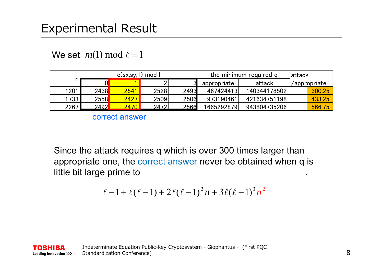### Experimental Result

We set  $\ m(1) \ \text{mod} \ \ell = 1$ 

|      |             | c(sx, sy, 1)   | mod  |      | the minimum required q | lattack      |              |        |
|------|-------------|----------------|------|------|------------------------|--------------|--------------|--------|
|      |             |                |      |      | appropriate            | attack       | /appropriate |        |
| 201  | <b>2438</b> | 2541           | 2528 | 2493 | 467424413              | 140344178502 |              | 300.25 |
| 1733 | 2558        | <b>24271</b>   | 2509 | 2506 | 973190461              | 421634751198 |              | 433.25 |
| 2267 | 2492        | <u> 2470  </u> | 2472 | 2566 | 1665292879             | 943804735206 |              | 566.75 |

correct answer

Since the attack requires q which is over 300 times larger than appropriate one, the correct answer never be obtained when q is little bit large prime to .

$$
\ell - 1 + \ell(\ell - 1) + 2\ell(\ell - 1)^2 n + 3\ell(\ell - 1)^3 n^2
$$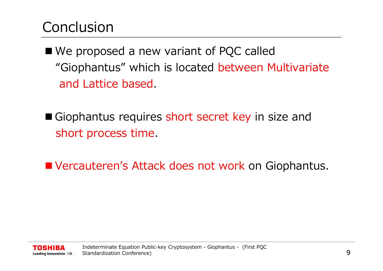# **Conclusion**

- We proposed a new variant of PQC called "Giophantus" which is located between Multivariate and Lattice based.
- Giophantus requires short secret key in size and short process time.
- **NATA:** Vercauteren's Attack does not work on Giophantus.